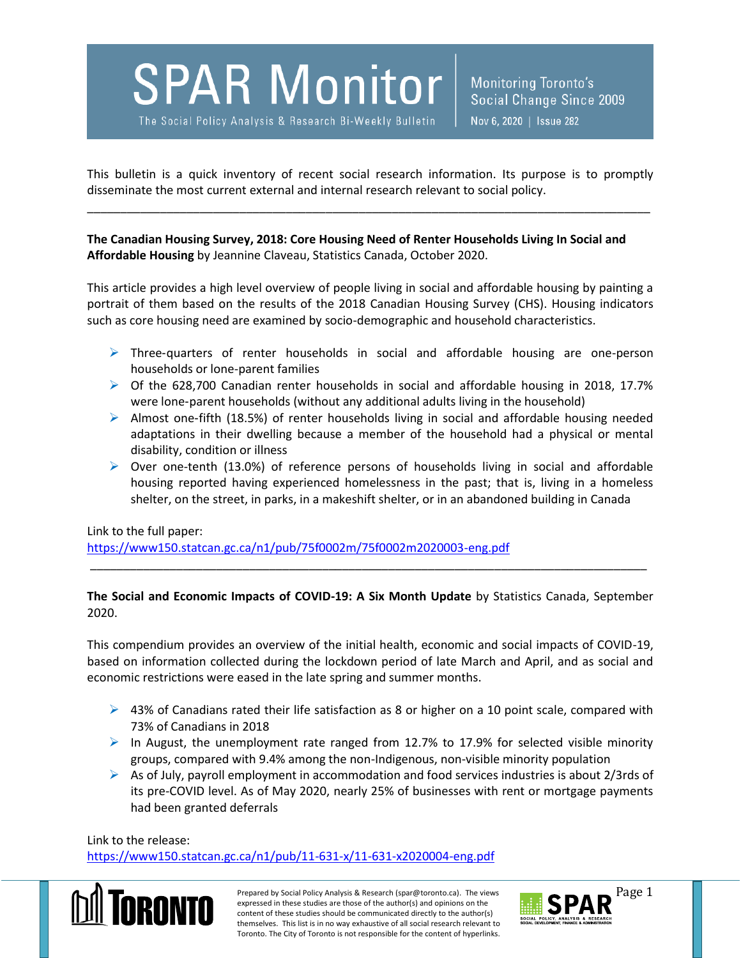# **SPAR Monitor**

The Social Policy Analysis & Research Bi-Weekly Bulletin

This bulletin is a quick inventory of recent social research information. Its purpose is to promptly disseminate the most current external and internal research relevant to social policy.

\_\_\_\_\_\_\_\_\_\_\_\_\_\_\_\_\_\_\_\_\_\_\_\_\_\_\_\_\_\_\_\_\_\_\_\_\_\_\_\_\_\_\_\_\_\_\_\_\_\_\_\_\_\_\_\_\_\_\_\_\_\_\_\_\_\_\_\_\_\_\_\_\_\_\_\_\_\_\_\_\_\_\_\_\_

**The Canadian Housing Survey, 2018: Core Housing Need of Renter Households Living In Social and Affordable Housing** by Jeannine Claveau, Statistics Canada, October 2020.

This article provides a high level overview of people living in social and affordable housing by painting a portrait of them based on the results of the 2018 Canadian Housing Survey (CHS). Housing indicators such as core housing need are examined by socio-demographic and household characteristics.

- $\triangleright$  Three-quarters of renter households in social and affordable housing are one-person households or lone-parent families
- $\triangleright$  Of the 628,700 Canadian renter households in social and affordable housing in 2018, 17.7% were lone-parent households (without any additional adults living in the household)
- $\triangleright$  Almost one-fifth (18.5%) of renter households living in social and affordable housing needed adaptations in their dwelling because a member of the household had a physical or mental disability, condition or illness
- $\triangleright$  Over one-tenth (13.0%) of reference persons of households living in social and affordable housing reported having experienced homelessness in the past; that is, living in a homeless shelter, on the street, in parks, in a makeshift shelter, or in an abandoned building in Canada

Link to the full paper:

<https://www150.statcan.gc.ca/n1/pub/75f0002m/75f0002m2020003-eng.pdf>

## **The Social and Economic Impacts of COVID-19: A Six Month Update** by Statistics Canada, September 2020.

\_\_\_\_\_\_\_\_\_\_\_\_\_\_\_\_\_\_\_\_\_\_\_\_\_\_\_\_\_\_\_\_\_\_\_\_\_\_\_\_\_\_\_\_\_\_\_\_\_\_\_\_\_\_\_\_\_\_\_\_\_\_\_\_\_\_\_\_\_\_\_\_\_\_\_\_\_\_\_\_\_\_\_\_

This compendium provides an overview of the initial health, economic and social impacts of COVID-19, based on information collected during the lockdown period of late March and April, and as social and economic restrictions were eased in the late spring and summer months.

- $\triangleright$  43% of Canadians rated their life satisfaction as 8 or higher on a 10 point scale, compared with 73% of Canadians in 2018
- $\triangleright$  In August, the unemployment rate ranged from 12.7% to 17.9% for selected visible minority groups, compared with 9.4% among the non-Indigenous, non-visible minority population
- $\triangleright$  As of July, payroll employment in accommodation and food services industries is about 2/3rds of its pre-COVID level. As of May 2020, nearly 25% of businesses with rent or mortgage payments had been granted deferrals

Link to the release:

<https://www150.statcan.gc.ca/n1/pub/11-631-x/11-631-x2020004-eng.pdf>



Prepared by Social Policy Analysis & Research (spar@toronto.ca). The views Page 1 expressed in these studies are those of the author(s) and opinions on the content of these studies should be communicated directly to the author(s) themselves. This list is in no way exhaustive of all social research relevant to Toronto. The City of Toronto is not responsible for the content of hyperlinks.

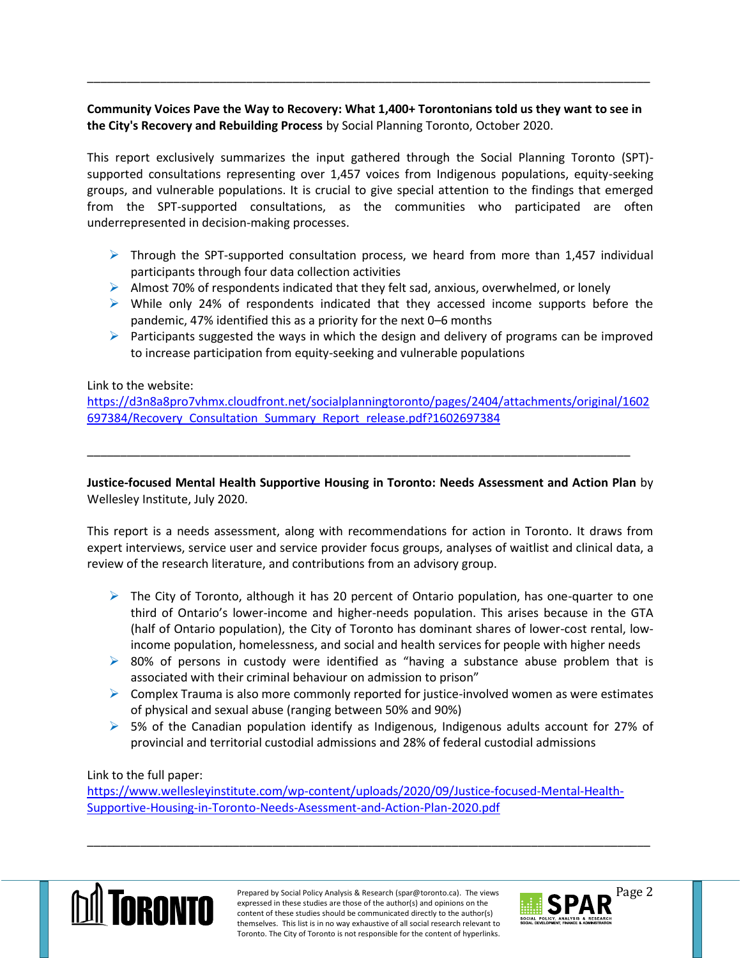# **Community Voices Pave the Way to Recovery: What 1,400+ Torontonians told us they want to see in the City's Recovery and Rebuilding Process** by Social Planning Toronto, October 2020.

\_\_\_\_\_\_\_\_\_\_\_\_\_\_\_\_\_\_\_\_\_\_\_\_\_\_\_\_\_\_\_\_\_\_\_\_\_\_\_\_\_\_\_\_\_\_\_\_\_\_\_\_\_\_\_\_\_\_\_\_\_\_\_\_\_\_\_\_\_\_\_\_\_\_\_\_\_\_\_\_\_\_\_\_\_

This report exclusively summarizes the input gathered through the Social Planning Toronto (SPT) supported consultations representing over 1,457 voices from Indigenous populations, equity-seeking groups, and vulnerable populations. It is crucial to give special attention to the findings that emerged from the SPT-supported consultations, as the communities who participated are often underrepresented in decision-making processes.

- $\triangleright$  Through the SPT-supported consultation process, we heard from more than 1,457 individual participants through four data collection activities
- $\triangleright$  Almost 70% of respondents indicated that they felt sad, anxious, overwhelmed, or lonely
- $\triangleright$  While only 24% of respondents indicated that they accessed income supports before the pandemic, 47% identified this as a priority for the next 0–6 months
- $\triangleright$  Participants suggested the ways in which the design and delivery of programs can be improved to increase participation from equity-seeking and vulnerable populations

#### Link to the website:

[https://d3n8a8pro7vhmx.cloudfront.net/socialplanningtoronto/pages/2404/attachments/original/1602](https://d3n8a8pro7vhmx.cloudfront.net/socialplanningtoronto/pages/2404/attachments/original/1602697384/Recovery_Consultation_Summary_Report_release.pdf?1602697384) [697384/Recovery\\_Consultation\\_Summary\\_Report\\_release.pdf?1602697384](https://d3n8a8pro7vhmx.cloudfront.net/socialplanningtoronto/pages/2404/attachments/original/1602697384/Recovery_Consultation_Summary_Report_release.pdf?1602697384)

\_\_\_\_\_\_\_\_\_\_\_\_\_\_\_\_\_\_\_\_\_\_\_\_\_\_\_\_\_\_\_\_\_\_\_\_\_\_\_\_\_\_\_\_\_\_\_\_\_\_\_\_\_\_\_\_\_\_\_\_\_\_\_\_\_\_\_\_\_\_\_\_\_\_\_\_\_\_\_\_\_\_

**Justice-focused Mental Health Supportive Housing in Toronto: Needs Assessment and Action Plan** by Wellesley Institute, July 2020.

This report is a needs assessment, along with recommendations for action in Toronto. It draws from expert interviews, service user and service provider focus groups, analyses of waitlist and clinical data, a review of the research literature, and contributions from an advisory group.

- $\triangleright$  The City of Toronto, although it has 20 percent of Ontario population, has one-quarter to one third of Ontario's lower-income and higher-needs population. This arises because in the GTA (half of Ontario population), the City of Toronto has dominant shares of lower-cost rental, lowincome population, homelessness, and social and health services for people with higher needs
- $\triangleright$  80% of persons in custody were identified as "having a substance abuse problem that is associated with their criminal behaviour on admission to prison"
- $\triangleright$  Complex Trauma is also more commonly reported for justice-involved women as were estimates of physical and sexual abuse (ranging between 50% and 90%)
- $\triangleright$  5% of the Canadian population identify as Indigenous, Indigenous adults account for 27% of provincial and territorial custodial admissions and 28% of federal custodial admissions

## Link to the full paper:

[https://www.wellesleyinstitute.com/wp-content/uploads/2020/09/Justice-focused-Mental-Health-](https://www.wellesleyinstitute.com/wp-content/uploads/2020/09/Justice-focused-Mental-Health-Supportive-Housing-in-Toronto-Needs-Asessment-and-Action-Plan-2020.pdf)[Supportive-Housing-in-Toronto-Needs-Asessment-and-Action-Plan-2020.pdf](https://www.wellesleyinstitute.com/wp-content/uploads/2020/09/Justice-focused-Mental-Health-Supportive-Housing-in-Toronto-Needs-Asessment-and-Action-Plan-2020.pdf)



Prepared by Social Policy Analysis & Research (spar@toronto.ca). The views Page 2 expressed in these studies are those of the author(s) and opinions on the content of these studies should be communicated directly to the author(s) themselves. This list is in no way exhaustive of all social research relevant to Toronto. The City of Toronto is not responsible for the content of hyperlinks.

\_\_\_\_\_\_\_\_\_\_\_\_\_\_\_\_\_\_\_\_\_\_\_\_\_\_\_\_\_\_\_\_\_\_\_\_\_\_\_\_\_\_\_\_\_\_\_\_\_\_\_\_\_\_\_\_\_\_\_\_\_\_\_\_\_\_\_\_\_\_\_\_\_\_\_\_\_\_\_\_\_\_\_\_\_